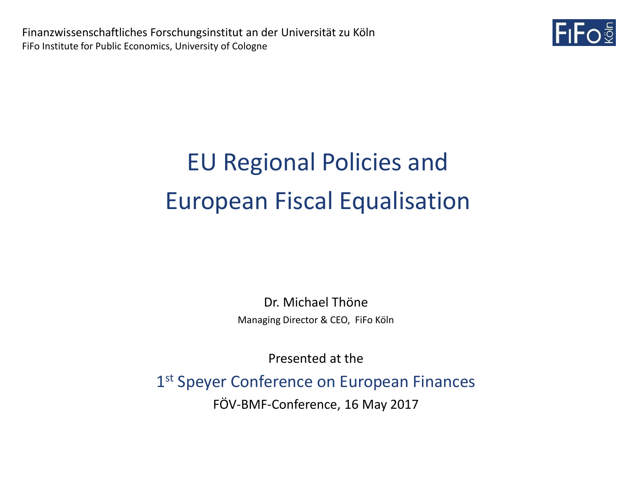

Dr. Michael Thöne Managing Director & CEO, FiFo Köln

Presented at the

1st Speyer Conference on European Finances

FÖV-BMF-Conference, 16 May 2017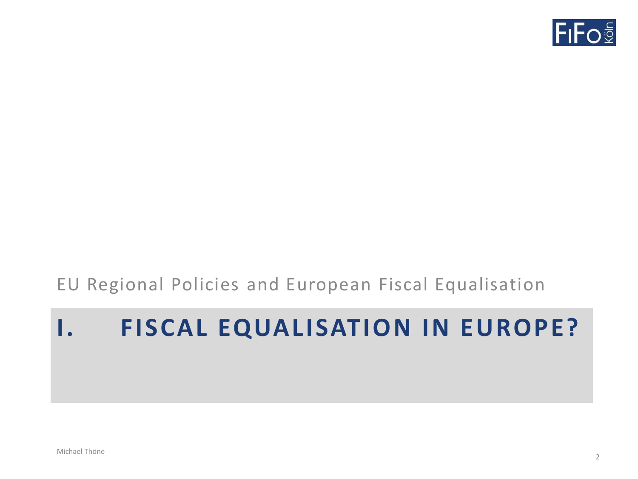

# **I. FISCAL EQUALISATION IN EUROPE?**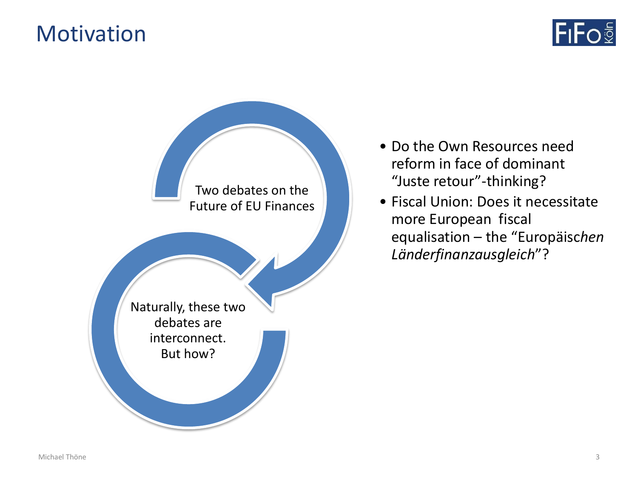#### **Motivation**





- Do the Own Resources need reform in face of dominant "Juste retour"-thinking?
- Fiscal Union: Does it necessitate more European fiscal equalisation – the "Europäisc*hen Länderfinanzausgleich*"?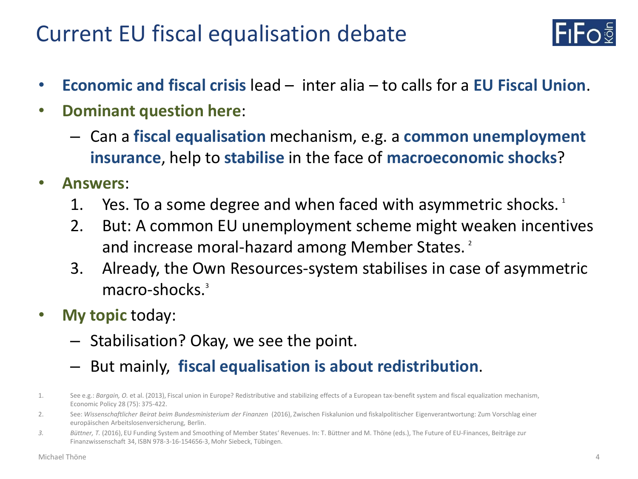#### Current EU fiscal equalisation debate



- **Economic and fiscal crisis** lead inter alia to calls for a **EU Fiscal Union**.
- **Dominant question here**:
	- Can a **fiscal equalisation** mechanism, e.g. a **common unemployment insurance**, help to **stabilise** in the face of **macroeconomic shocks**?
- **Answers**:
	- 1. Yes. To a some degree and when faced with asymmetric shocks.  $1$
	- 2. But: A common EU unemployment scheme might weaken incentives and increase moral-hazard among Member States.<sup>2</sup>
	- 3. Already, the Own Resources-system stabilises in case of asymmetric macro-shocks.<sup>3</sup>
- **My topic** today:
	- Stabilisation? Okay, we see the point.
	- But mainly, **fiscal equalisation is about redistribution**.
- 1. See e.g.: *Bargain, O.* et al. (2013), Fiscal union in Europe? Redistributive and stabilizing effects of a European tax-benefit system and fiscal equalization mechanism, Economic Policy 28 (75): 375-422.
- 2. See: *Wissenschaftlicher Beirat beim Bundesministerium der Finanzen* (2016), Zwischen Fiskalunion und fiskalpolitischer Eigenverantwortung: Zum Vorschlag einer europäischen Arbeitslosenversicherung, Berlin.
- *3. Büttner, T.* (2016), EU Funding System and Smoothing of Member States' Revenues. In: T. Büttner and M. Thöne (eds.), The Future of EU-Finances, Beiträge zur Finanzwissenschaft 34, ISBN 978-3-16-154656-3, Mohr Siebeck, Tübingen.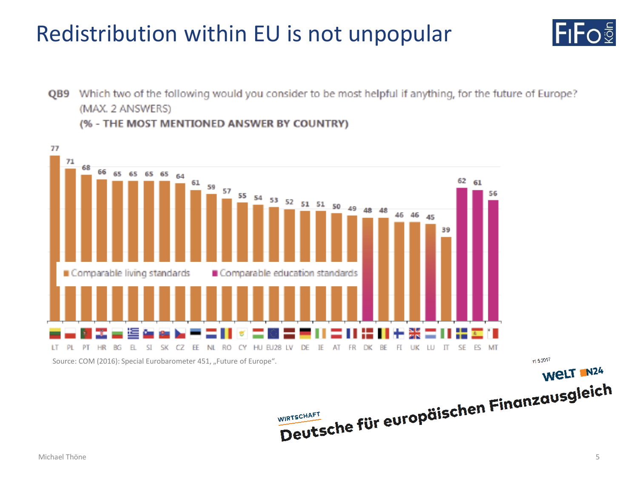#### Redistribution within EU is not unpopular



QB9 Which two of the following would you consider to be most helpful if anything, for the future of Europe? (MAX. 2 ANSWERS) (% - THE MOST MENTIONED ANSWER BY COUNTRY)



11.5.2017 WELT N24

Michael Thöne 5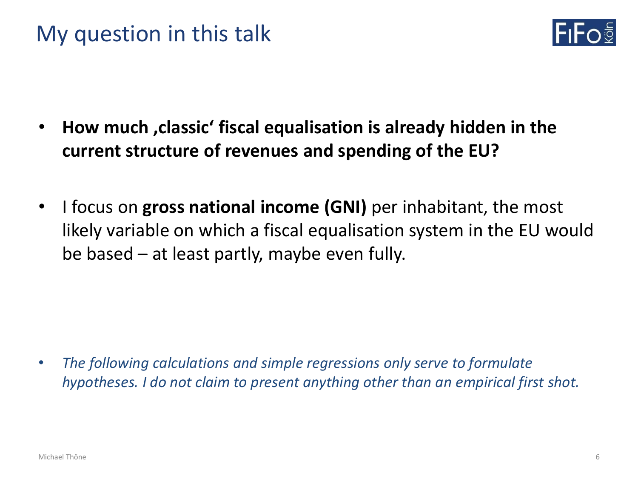#### My question in this talk



- **How much 'classic' fiscal equalisation is already hidden in the current structure of revenues and spending of the EU?**
- I focus on **gross national income (GNI)** per inhabitant, the most likely variable on which a fiscal equalisation system in the EU would be based – at least partly, maybe even fully.

• *The following calculations and simple regressions only serve to formulate hypotheses. I do not claim to present anything other than an empirical first shot.*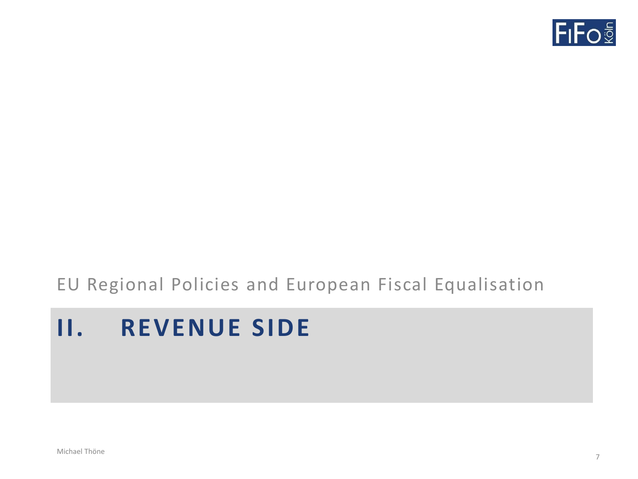

### **II. REVENUE SIDE**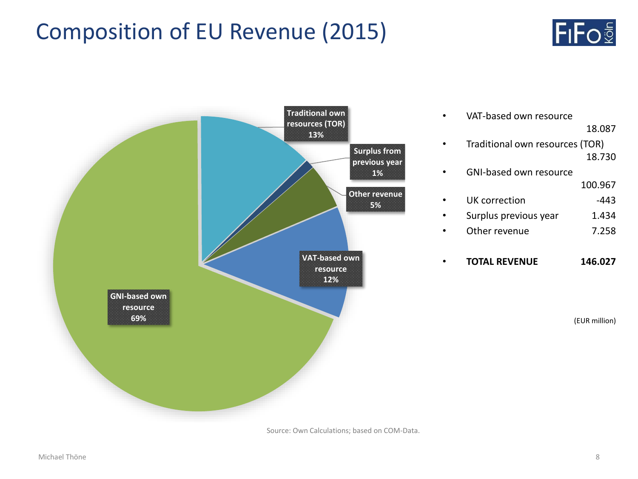#### Composition of EU Revenue (2015)





Source: Own Calculations; based on COM-Data.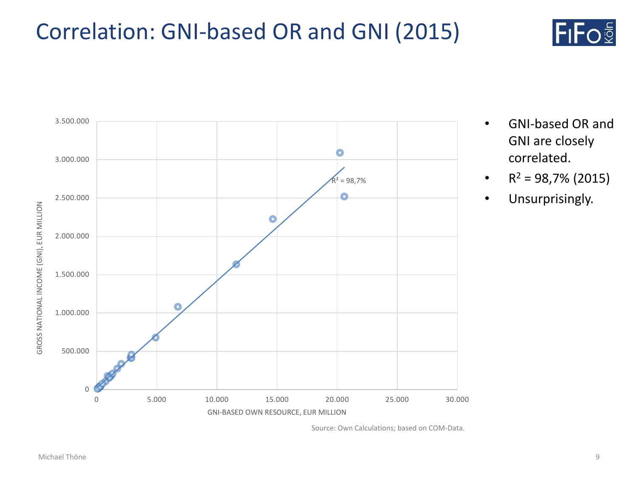#### Correlation: GNI-based OR and GNI (2015)





- GNI-based OR and GNI are closely correlated.
- $R^2 = 98,7\%$  (2015)
- Unsurprisingly.

Source: Own Calculations; based on COM-Data.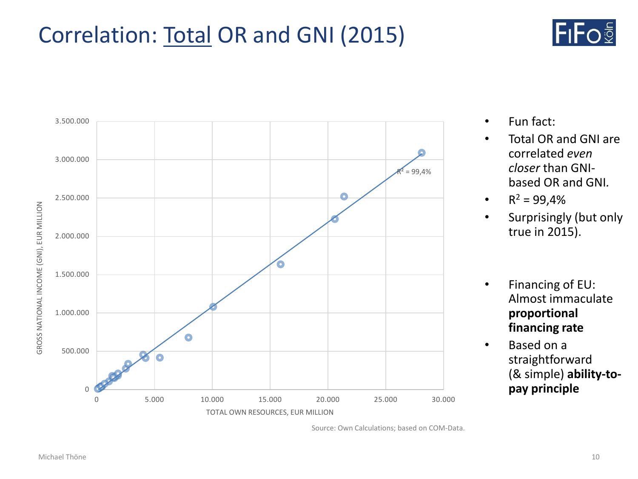#### Correlation: Total OR and GNI (2015)





- Fun fact:
- Total OR and GNI are correlated *even closer* than GNIbased OR and GNI*.*
- $R^2 = 99,4%$
- Surprisingly (but only true in 2015).
- Financing of EU: Almost immaculate **proportional financing rate**
- Based on a straightforward (& simple) **ability-topay principle**

Source: Own Calculations; based on COM-Data.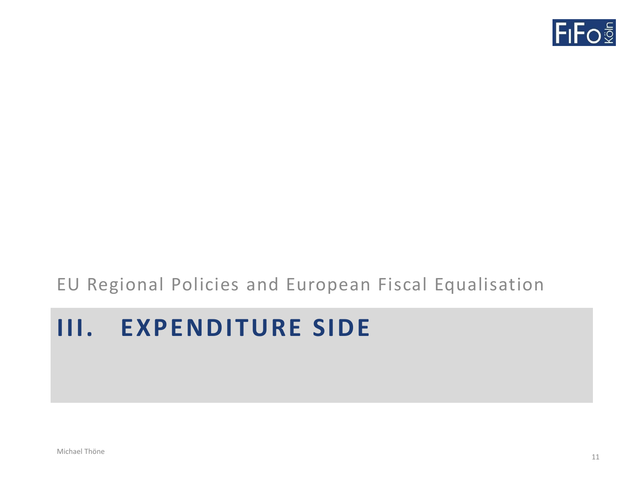

## **III. EXPENDITURE SIDE**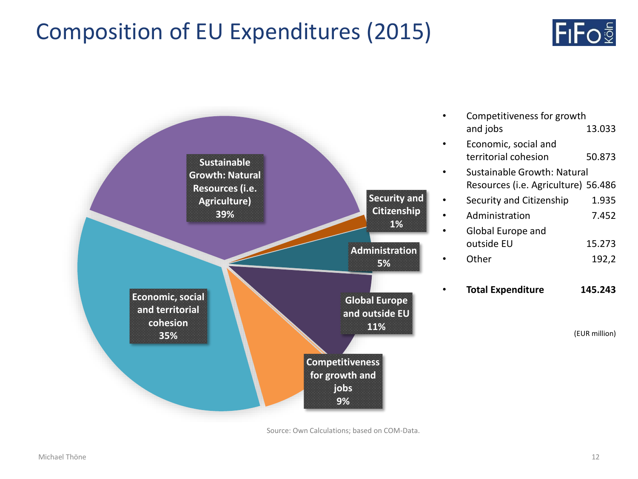#### Composition of EU Expenditures (2015)





Source: Own Calculations; based on COM-Data.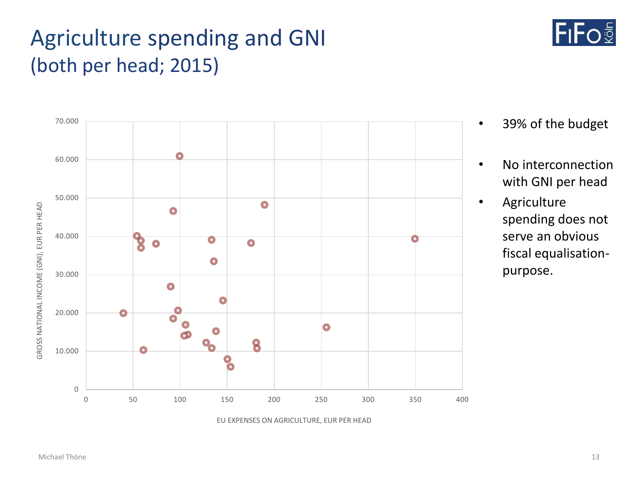#### Agriculture spending and GNI (both per head; 2015)



- 39% of the budget
- No interconnection with GNI per head
- Agriculture spending does not serve an obvious fiscal equalisationpurpose.

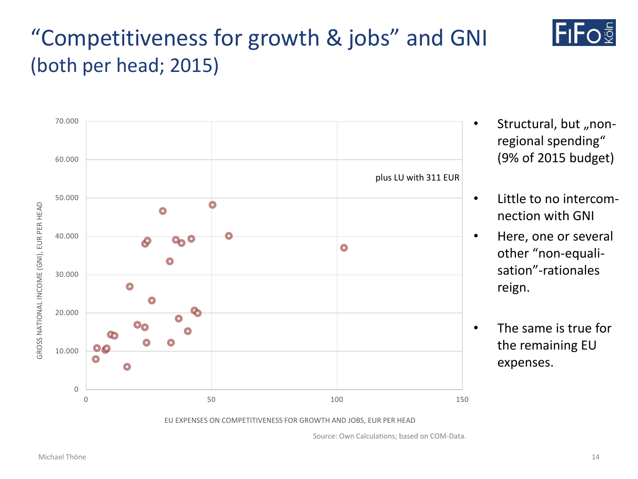#### Michael Thöne 14





structural, but "nonregional spending" (9% of 2015 budget)

lFıFo<sup>§</sup>

- Little to no intercomnection with GNI
	- Here, one or several other "non-equalisation"-rationales reign.
	- The same is true for the remaining EU expenses.

Source: Own Calculations; based on COM-Data.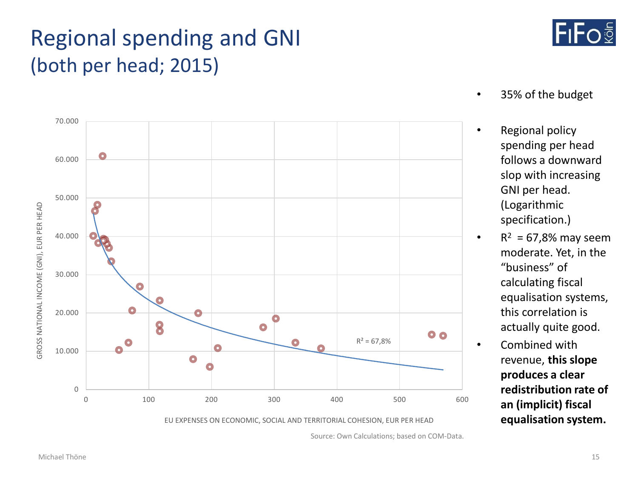#### Regional spending and GNI (both per head; 2015)



- 35% of the budget
- Regional policy spending per head follows a downward slop with increasing GNI per head. (Logarithmic specification.)
- $R^2 = 67,8\%$  may seem moderate. Yet, in the "business" of calculating fiscal equalisation systems, this correlation is actually quite good.
- Combined with revenue, **this slope produces a clear redistribution rate of an (implicit) fiscal equalisation system.**



Source: Own Calculations; based on COM-Data.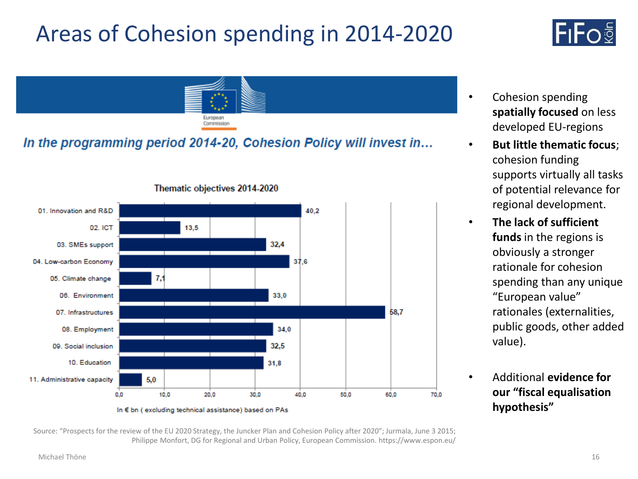# Areas of Cohesion spending in 2014-2020

# lFıFoඕ



#### In the programming period 2014-20, Cohesion Policy will invest in...



Thematic objectives 2014-2020

- Cohesion spending **spatially focused** on less developed EU-regions
- **But little thematic focus**; cohesion funding supports virtually all tasks of potential relevance for regional development.
- **The lack of sufficient funds** in the regions is obviously a stronger rationale for cohesion spending than any unique "European value" rationales (externalities, public goods, other added value).
	- Additional **evidence for our "fiscal equalisation hypothesis"**

Source: "Prospects for the review of the EU 2020 Strategy, the Juncker Plan and Cohesion Policy after 2020"; Jurmala, June 3 2015; Philippe Monfort, DG for Regional and Urban Policy, European Commission. https://www.espon.eu/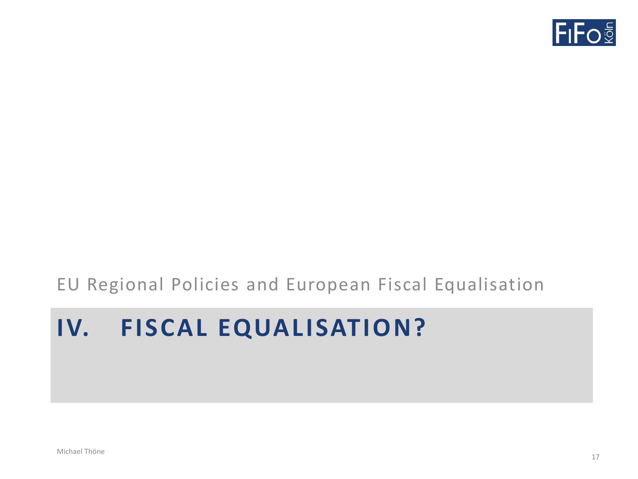

# **IV. FISCAL EQUALISATION?**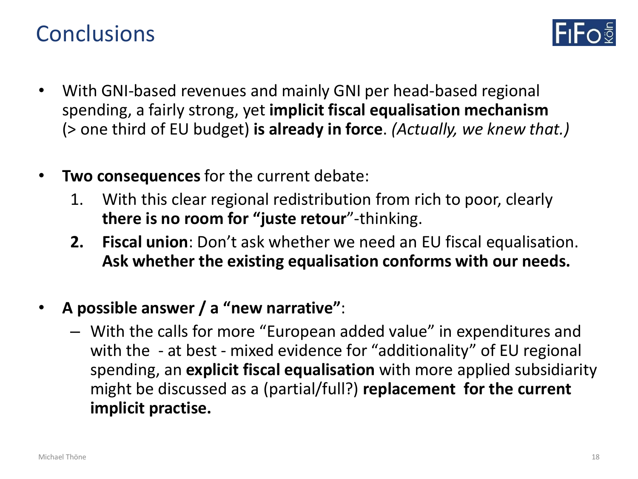#### **Conclusions**



- With GNI-based revenues and mainly GNI per head-based regional spending, a fairly strong, yet **implicit fiscal equalisation mechanism**  (> one third of EU budget) **is already in force**. *(Actually, we knew that.)*
- **Two consequences** for the current debate:
	- 1. With this clear regional redistribution from rich to poor, clearly **there is no room for "juste retour**"-thinking.
	- **2. Fiscal union**: Don't ask whether we need an EU fiscal equalisation. **Ask whether the existing equalisation conforms with our needs.**
- **A possible answer / a "new narrative"**:
	- With the calls for more "European added value" in expenditures and with the - at best - mixed evidence for "additionality" of EU regional spending, an **explicit fiscal equalisation** with more applied subsidiarity might be discussed as a (partial/full?) **replacement for the current implicit practise.**